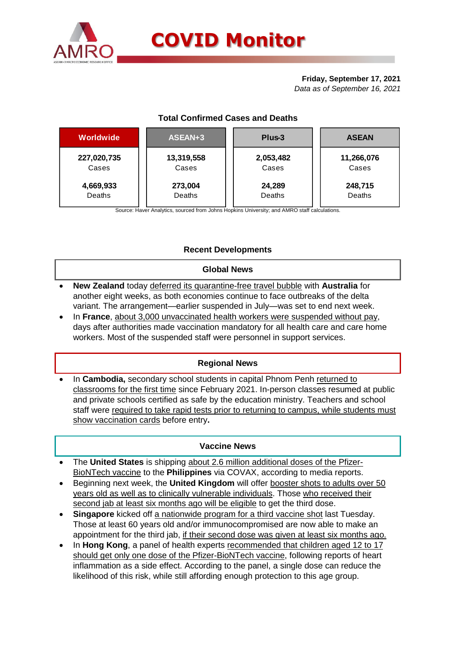

# **Friday, September 17, 2021**

*Data as of September 16, 2021*

| Worldwide   | ASEAN+3    | Plus-3    | <b>ASEAN</b> |  |  |
|-------------|------------|-----------|--------------|--|--|
| 227,020,735 | 13,319,558 | 2,053,482 | 11,266,076   |  |  |
| Cases       | Cases      | Cases     | Cases        |  |  |
| 4,669,933   | 273,004    | 24,289    | 248,715      |  |  |
| Deaths      | Deaths     | Deaths    | Deaths       |  |  |

## **Total Confirmed Cases and Deaths**

Source: Haver Analytics, sourced from Johns Hopkins University; and AMRO staff calculations.

## **Recent Developments**

#### **Global News**

- **New Zealand** today deferred its quarantine-free travel bubble with **Australia** for another eight weeks, as both economies continue to face outbreaks of the delta variant. The arrangement—earlier suspended in July—was set to end next week.
- In **France**, about 3,000 unvaccinated health workers were suspended without pay, days after authorities made vaccination mandatory for all health care and care home workers. Most of the suspended staff were personnel in support services.

#### **Regional News**

 In **Cambodia,** secondary school students in capital Phnom Penh returned to classrooms for the first time since February 2021. In-person classes resumed at public and private schools certified as safe by the education ministry. Teachers and school staff were required to take rapid tests prior to returning to campus, while students must show vaccination cards before entry**.**

## **Vaccine News**

- The **United States** is shipping about 2.6 million additional doses of the Pfizer-BioNTech vaccine to the **Philippines** via COVAX, according to media reports.
- Beginning next week, the **United Kingdom** will offer booster shots to adults over 50 years old as well as to clinically vulnerable individuals. Those who received their second jab at least six months ago will be eligible to get the third dose.
- **Singapore** kicked off a nationwide program for a [third vaccine shot](https://asia.nikkei.com/Spotlight/Coronavirus/COVID-vaccines/Singapore-starts-booster-shots-as-COVID-cases-hit-1-year-high) last Tuesday. Those at least 60 years old and/or immunocompromised are now able to make an appointment for the third jab, if their second dose was given at least six months ago.
- In Hong Kong, a panel of health experts recommended that children aged 12 to 17 should get only one dose of the Pfizer-BioNTech vaccine, following reports of heart inflammation as a side effect. According to the panel, a single dose can reduce the likelihood of this risk, while still affording enough protection to this age group.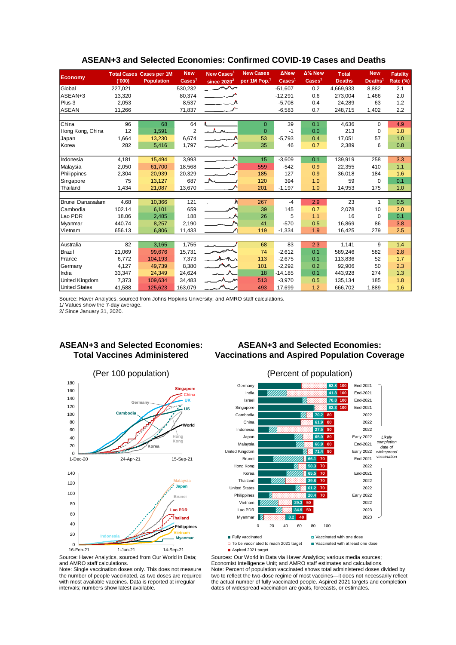| <b>Economy</b>       |         | <b>Total Cases Cases per 1M</b> | <b>New</b>               | New Cases <sup>1</sup>         | <b>New Cases</b>         | <b>ANew</b>              | $\Delta\%$ New           | <b>Total</b>  | <b>New</b>          | <b>Fatality</b> |
|----------------------|---------|---------------------------------|--------------------------|--------------------------------|--------------------------|--------------------------|--------------------------|---------------|---------------------|-----------------|
|                      | (000)   | <b>Population</b>               | $\text{Case} \text{s}^1$ | since $2020^2$                 | per 1M Pop. <sup>1</sup> | $\text{Case} \text{s}^1$ | $\text{Case} \text{s}^1$ | <b>Deaths</b> | Deaths <sup>1</sup> | Rate (%)        |
| Global               | 227,021 |                                 | 530,232                  | سمسر                           |                          | $-51.607$                | 0.2                      | 4,669,933     | 8,882               | 2.1             |
| ASEAN+3              | 13,320  |                                 | 80,374                   | <b>Contract Contract</b>       |                          | $-12,291$                | 0.6                      | 273.004       | 1,466               | 2.0             |
| Plus-3               | 2,053   |                                 | 8,537                    | $\sim$ $\sim$ $\sim$ $\Lambda$ |                          | $-5,708$                 | 0.4                      | 24,289        | 63                  | 1.2             |
| <b>ASEAN</b>         | 11,266  |                                 | 71,837                   |                                |                          | $-6,583$                 | 0.7                      | 248,715       | 1,402               | 2.2             |
|                      |         |                                 |                          |                                |                          |                          |                          |               |                     |                 |
| China                | 96      | 68                              | 64                       |                                | $\Omega$                 | 39                       | 0.1                      | 4,636         | $\Omega$            | 4.9             |
| Hong Kong, China     | 12      | 1,591                           | $\overline{2}$           | $\Lambda$ $\Lambda$            | $\mathbf{0}$             | $-1$                     | 0.0                      | 213           | 0                   | 1.8             |
| Japan                | 1,664   | 13,230                          | 6,674                    |                                | 53                       | $-5,793$                 | 0.4                      | 17,051        | 57                  | 1.0             |
| Korea                | 282     | 5,416                           | 1,797                    |                                | 35                       | 46                       | 0.7                      | 2,389         | 6                   | 0.8             |
|                      |         |                                 |                          |                                |                          |                          |                          |               |                     |                 |
| Indonesia            | 4,181   | 15,494                          | 3,993                    | —— ∧                           | 15                       | $-3,609$                 | 0.1                      | 139,919       | 258                 | 3.3             |
| Malaysia             | 2,050   | 61,700                          | 18,568                   | ليوند المستحق                  | 559                      | $-542$                   | 0.9                      | 22,355        | 410                 | 1.1             |
| Philippines          | 2,304   | 20,939                          | 20,329                   |                                | 185                      | 127                      | 0.9                      | 36,018        | 184                 | 1.6             |
| Singapore            | 75      | 13,127                          | 687                      | he 1                           | 120                      | 394                      | 1.0                      | 59            | $\mathbf 0$         | 0.1             |
| Thailand             | 1,434   | 21,087                          | 13,670                   |                                | 201                      | $-1,197$                 | 1.0                      | 14,953        | 175                 | 1.0             |
|                      |         |                                 |                          |                                |                          |                          |                          |               |                     |                 |
| Brunei Darussalam    | 4.68    | 10,366                          | 121                      |                                | 267                      | $-4$                     | 2.9                      | 23            | 1                   | 0.5             |
| Cambodia             | 102.14  | 6,101                           | 659                      | $\overline{\phantom{a}}$       | 39                       | 145                      | 0.7                      | 2,078         | 10                  | 2.0             |
| Lao PDR              | 18.06   | 2,485                           | 188                      | $\sim$ $\sim$ $\sim$           | 26                       | 5                        | 1.1                      | 16            | 0                   | 0.1             |
| Myanmar              | 440.74  | 8,257                           | 2,190                    |                                | 41                       | $-570$                   | 0.5                      | 16,869        | 86                  | 3.8             |
| Vietnam              | 656.13  | 6,806                           | 11,433                   |                                | 119                      | $-1,334$                 | 1.9                      | 16,425        | 279                 | 2.5             |
|                      |         |                                 |                          |                                |                          |                          |                          |               |                     |                 |
| Australia            | 82      | 3.165                           | 1,755                    |                                | 68                       | 83                       | 2.3                      | 1,141         | 9                   | 1.4             |
| Brazil               | 21,069  | 99,676                          | 15,731                   |                                | 74                       | $-2,612$                 | 0.1                      | 589,246       | 582                 | 2.8             |
| France               | 6,772   | 104,193                         | 7,373                    | 茹ᠰ                             | 113                      | $-2,675$                 | 0.1                      | 113,836       | 52                  | 1.7             |
| Germany              | 4,127   | 49,739                          | 8,380                    | $M_{\odot}$                    | 101                      | $-2,292$                 | 0.2                      | 92,906        | 50                  | 2.3             |
| India                | 33,347  | 24,349                          | 24,624                   |                                | 18                       | $-14,185$                | 0.1                      | 443,928       | 274                 | 1.3             |
| United Kingdom       | 7,373   | 109,634                         | 34,483                   | $\lambda$ $\mu$                | 513                      | $-3,970$                 | 0.5                      | 135,134       | 185                 | 1.8             |
| <b>United States</b> | 41,588  | 125,623                         | 163,079                  |                                | 493                      | 17,699                   | 1.2                      | 666,702       | 1,889               | 1.6             |

#### **ASEAN+3 and Selected Economies: Confirmed COVID-19 Cases and Deaths**

Source: Haver Analytics, sourced from Johns Hopkins University; and AMRO staff calculations.

1/ Values show the 7-day average.

2/ Since January 31, 2020.

#### **ASEAN+3 and Selected Economies: Total Vaccines Administered**



#### **ASEAN+3 and Selected Economies: Vaccinations and Aspired Population Coverage**





Source: Haver Analytics, sourced from Our World in Data; and AMRO staff calculations.

Note: Single vaccination doses only. This does not measure the number of people vaccinated, as two doses are required with most available vaccines. Data is reported at irregular intervals; numbers show latest available.

Sources: Our World in Data via Haver Analytics; various media sources; Economist Intelligence Unit; and AMRO staff estimates and calculations. Note: Percent of population vaccinated shows total administered doses divided by two to reflect the two-dose regime of most vaccines—it does not necessarily reflect the actual number of fully vaccinated people. Aspired 2021 targets and completion dates of widespread vaccination are goals, forecasts, or estimates.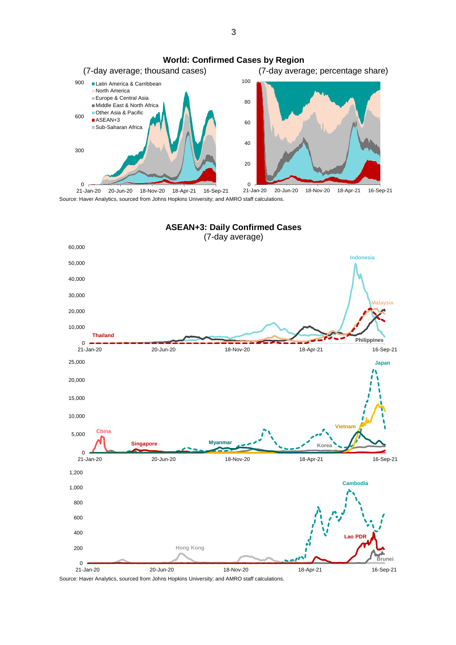

Source: Haver Analytics, sourced from Johns Hopkins University; and AMRO staff calculations. 21-Jan-20 20-Jun-20 18-Nov-20 18-Apr-21 16-Sep-21

**ASEAN+3: Daily Confirmed Cases**



Source: Haver Analytics, sourced from Johns Hopkins University; and AMRO staff calculations.

3